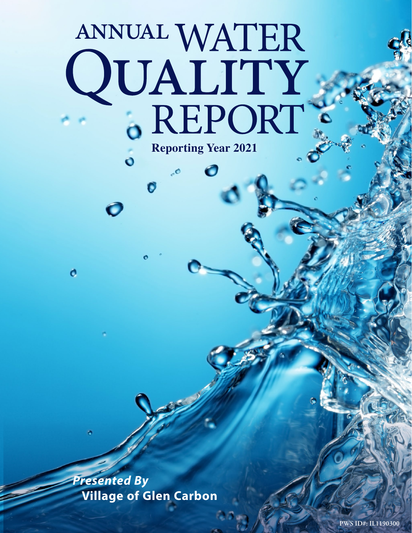# ANNUAL WATER QUALITY .REPORT **Reporting Year 2021**

 $\bullet$ 

 $\ddot{\mathbf{o}}$ 

Ó

*Presented By* **Village of Glen Carbon**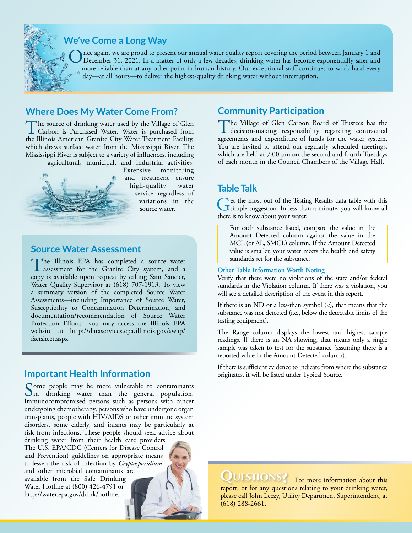

# **We've Come a Long Way**

Once again, we are proud to present our annual water quality report covering the period between January 1 and December 31, 2021. In a matter of only a few decades, drinking water has become exponentially safer and means a more reliable than at any other point in human history. Our exceptional staff continues to work hard every day—at all hours—to deliver the highest-quality drinking water without interruption.

## **Where Does My Water Come From?**

The source of drinking water used by the Village of Glen<br>Carbon is Purchased Water. Water is purchased from<br>the Illineis American Carpita City Water Treatment Beiling the Illinois American Granite City Water Treatment Facility, which draws surface water from the Mississippi River. The Mississippi River is subject to a variety of influences, including agricultural, municipal, and industrial activities.



Extensive monitoring and treatment ensure high-quality water service regardless of variations in the source water.

#### **Source Water Assessment**

The Illinois EPA has completed a source water<br>assessment for the Granite City system, and a copy is available upon request by calling Sam Saucier, Water Quality Supervisor at (618) 707-1913. To view a summary version of the completed Source Water Assessments—including Importance of Source Water, Susceptibility to Contamination Determination, and documentation/recommendation of Source Water Protection Efforts—you may access the Illinois EPA website at [http://dataservices.epa.illinois.gov/swap/](http://dataservices.epa.illinois.gov/swap/factsheet.aspx) [factsheet.aspx](http://dataservices.epa.illinois.gov/swap/factsheet.aspx).

## **Important Health Information**

Some people may be more vulnerable to contaminants<br>In drinking water than the general population. Immunocompromised persons such as persons with cancer undergoing chemotherapy, persons who have undergone organ transplants, people with HIV/AIDS or other immune system disorders, some elderly, and infants may be particularly at risk from infections. These people should seek advice about drinking water from their health care providers.

The U.S. EPA/CDC (Centers for Disease Control and Prevention) guidelines on appropriate means to lessen the risk of infection by *Cryptosporidium* and other microbial contaminants are available from the Safe Drinking Water Hotline at (800) 426-4791 or [http://water.epa.gov/drink/hotline.](http://water.epa.gov/drink/hotline)

## **Community Participation**

The Village of Glen Carbon Board of Trustees has the decision-making responsibility regarding contractual agreements and expenditure of funds for the water system. You are invited to attend our regularly scheduled meetings, which are held at 7:00 pm on the second and fourth Tuesdays of each month in the Council Chambers of the Village Hall.

## **Table Talk**

Get the most out of the Testing Results data table with this simple suggestion. In less than a minute, you will know all there is to know about your water:

For each substance listed, compare the value in the Amount Detected column against the value in the MCL (or AL, SMCL) column. If the Amount Detected value is smaller, your water meets the health and safety standards set for the substance.

#### **Other Table Information Worth Noting**

Verify that there were no violations of the state and/or federal standards in the Violation column. If there was a violation, you will see a detailed description of the event in this report.

If there is an ND or a less-than symbol  $(\le)$ , that means that the substance was not detected (i.e., below the detectable limits of the testing equipment).

The Range column displays the lowest and highest sample readings. If there is an NA showing, that means only a single sample was taken to test for the substance (assuming there is a reported value in the Amount Detected column).

If there is sufficient evidence to indicate from where the substance originates, it will be listed under Typical Source.

QUESTIONS? For more information about this

report, or for any questions relating to your drinking water, please call John Leezy, Utility Department Superintendent, at (618) 288-2661.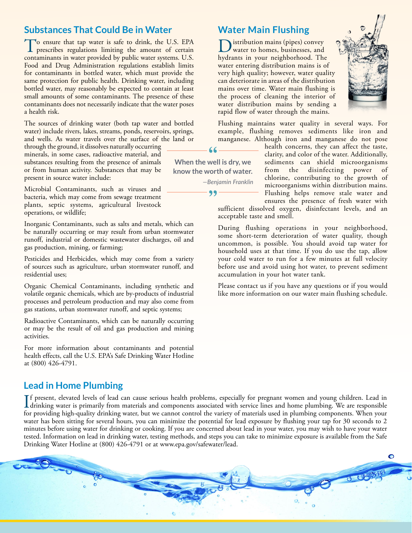## **Substances That Could Be in Water**

To ensure that tap water is safe to drink, the U.S. EPA prescribes regulations limiting the amount of certain contaminants in water provided by public water systems. U.S. Food and Drug Administration regulations establish limits for contaminants in bottled water, which must provide the same protection for public health. Drinking water, including bottled water, may reasonably be expected to contain at least small amounts of some contaminants. The presence of these contaminants does not necessarily indicate that the water poses a health risk.

The sources of drinking water (both tap water and bottled water) include rivers, lakes, streams, ponds, reservoirs, springs, and wells. As water travels over the surface of the land or

through the ground, it dissolves naturally occurring minerals, in some cases, radioactive material, and substances resulting from the presence of animals or from human activity. Substances that may be present in source water include:

Microbial Contaminants, such as viruses and bacteria, which may come from sewage treatment plants, septic systems, agricultural livestock operations, or wildlife;

Inorganic Contaminants, such as salts and metals, which can be naturally occurring or may result from urban stormwater runoff, industrial or domestic wastewater discharges, oil and gas production, mining, or farming;

Pesticides and Herbicides, which may come from a variety of sources such as agriculture, urban stormwater runoff, and residential uses;

Organic Chemical Contaminants, including synthetic and volatile organic chemicals, which are by-products of industrial processes and petroleum production and may also come from gas stations, urban stormwater runoff, and septic systems;

Radioactive Contaminants, which can be naturally occurring or may be the result of oil and gas production and mining activities.

For more information about contaminants and potential health effects, call the U.S. EPA's Safe Drinking Water Hotline at (800) 426-4791.

#### **Water Main Flushing**

istribution mains (pipes) convey water to homes, businesses, and hydrants in your neighborhood. The water entering distribution mains is of very high quality; however, water quality can deteriorate in areas of the distribution mains over time. Water main flushing is the process of cleaning the interior of water distribution mains by sending a rapid flow of water through the mains.



Flushing maintains water quality in several ways. For example, flushing removes sediments like iron and manganese. Although iron and manganese do not pose

 $66$ **When the well is dry, we know the worth of water.** *—Benjamin Franklin*

99

health concerns, they can affect the taste, clarity, and color of the water. Additionally, sediments can shield microorganisms from the disinfecting power of chlorine, contributing to the growth of microorganisms within distribution mains. Flushing helps remove stale water and ensures the presence of fresh water with

sufficient dissolved oxygen, disinfectant levels, and an acceptable taste and smell.

During flushing operations in your neighborhood, some short-term deterioration of water quality, though uncommon, is possible. You should avoid tap water for household uses at that time. If you do use the tap, allow your cold water to run for a few minutes at full velocity before use and avoid using hot water, to prevent sediment accumulation in your hot water tank.

Please contact us if you have any questions or if you would like more information on our water main flushing schedule.

## **Lead in Home Plumbing**

If present, elevated levels of lead can cause serious health problems, especially for pregnant women and young children. Lead in<br>drinking water is primarily from materials and components associated with service lines and h f present, elevated levels of lead can cause serious health problems, especially for pregnant women and young children. Lead in for providing high-quality drinking water, but we cannot control the variety of materials used in plumbing components. When your water has been sitting for several hours, you can minimize the potential for lead exposure by flushing your tap for 30 seconds to 2 minutes before using water for drinking or cooking. If you are concerned about lead in your water, you may wish to have your water tested. Information on lead in drinking water, testing methods, and steps you can take to minimize exposure is available from the Safe Drinking Water Hotline at (800) 426-4791 or at [www.epa.gov/safewater/lead](http://www.epa.gov/safewater/lead).

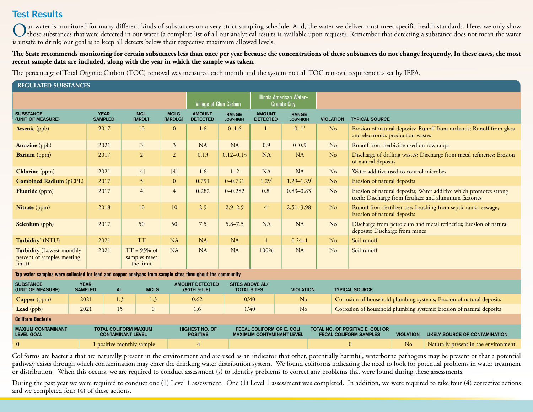# **Test Results**

Our water is monitored for many different kinds of substances on a very strict sampling schedule. And, the water we deliver must meet specific health standards. Here, we only show<br>those substances that were detected in our is unsafe to drink; our goal is to keep all detects below their respective maximum allowed levels.

The State recommends monitoring for certain substances less than once per year because the concentrations of these substances do not change frequently. In these cases, the most **recent sample data are included, along with the year in which the sample was taken.**

The percentage of Total Organic Carbon (TOC) removal was measured each month and the system met all TOC removal requirements set by IEPA.

| <b>REGULATED SUBSTANCES</b>                                                                              |                               |                                             |                        |                                                                                         |                          |                                  |                            |                  |                                                                                                                              |
|----------------------------------------------------------------------------------------------------------|-------------------------------|---------------------------------------------|------------------------|-----------------------------------------------------------------------------------------|--------------------------|----------------------------------|----------------------------|------------------|------------------------------------------------------------------------------------------------------------------------------|
|                                                                                                          |                               |                                             |                        | <b>Illinois American Water-</b><br><b>Village of Glen Carbon</b><br><b>Granite City</b> |                          |                                  |                            |                  |                                                                                                                              |
| <b>SUBSTANCE</b><br>(UNIT OF MEASURE)                                                                    | <b>YEAR</b><br><b>SAMPLED</b> | <b>MCL</b><br>[MRDL]                        | <b>MCLG</b><br>[MRDLG] | <b>AMOUNT</b><br><b>DETECTED</b>                                                        | <b>RANGE</b><br>LOW-HIGH | <b>AMOUNT</b><br><b>DETECTED</b> | <b>RANGE</b><br>LOW-HIGH   | <b>VIOLATION</b> | <b>TYPICAL SOURCE</b>                                                                                                        |
| <b>Arsenic</b> (ppb)                                                                                     | 2017                          | 10                                          | $\Omega$               | 1.6                                                                                     | $0 - 1.6$                | 1 <sup>1</sup>                   | $0 - 1$ <sup>1</sup>       | N <sub>o</sub>   | Erosion of natural deposits; Runoff from orchards; Runoff from glass<br>and electronics production wastes                    |
| <b>Atrazine</b> (ppb)                                                                                    | 2021                          | $\mathfrak{Z}$                              | $\overline{3}$         | <b>NA</b>                                                                               | <b>NA</b>                | 0.9                              | $0 - 0.9$                  | N <sub>o</sub>   | Runoff from herbicide used on row crops                                                                                      |
| <b>Barium</b> (ppm)                                                                                      | 2017                          | $\overline{2}$                              | $\overline{2}$         | 0.13                                                                                    | $0.12 - 0.13$            | <b>NA</b>                        | <b>NA</b>                  | N <sub>o</sub>   | Discharge of drilling wastes; Discharge from metal refineries; Erosion<br>of natural deposits                                |
| <b>Chlorine</b> (ppm)                                                                                    | 2021                          | $[4]$                                       | $[4]$                  | 1.6                                                                                     | $1 - 2$                  | <b>NA</b>                        | <b>NA</b>                  | No               | Water additive used to control microbes                                                                                      |
| <b>Combined Radium</b> (pCi/L)                                                                           | 2017                          | 5 <sup>5</sup>                              | $\mathbf{0}$           | 0.791                                                                                   | $0 - 0.791$              | $1.29^{2}$                       | $1.29 - 1.29^2$            | N <sub>o</sub>   | Erosion of natural deposits                                                                                                  |
| <b>Fluoride</b> (ppm)                                                                                    | 2017                          | $\overline{4}$                              | $\overline{4}$         | 0.282                                                                                   | $0 - 0.282$              | $0.8^{1}$                        | $0.83 - 0.83$ <sup>1</sup> | N <sub>o</sub>   | Erosion of natural deposits; Water additive which promotes strong<br>teeth; Discharge from fertilizer and aluminum factories |
| <b>Nitrate</b> (ppm)                                                                                     | 2018                          | 10                                          | 10                     | 2.9                                                                                     | $2.9 - 2.9$              | 4 <sup>1</sup>                   | $2.51 - 3.98$ <sup>1</sup> | No               | Runoff from fertilizer use; Leaching from septic tanks, sewage;<br>Erosion of natural deposits                               |
| Selenium (ppb)                                                                                           | 2017                          | 50                                          | 50                     | 7.5                                                                                     | $5.8 - 7.5$              | NA                               | <b>NA</b>                  | N <sub>o</sub>   | Discharge from petroleum and metal refineries; Erosion of natural<br>deposits; Discharge from mines                          |
| Turbidity <sup>3</sup> (NTU)                                                                             | 2021                          | <b>TT</b>                                   | <b>NA</b>              | <b>NA</b>                                                                               | <b>NA</b>                |                                  | $0.24 - 1$                 | No               | Soil runoff                                                                                                                  |
| <b>Turbidity</b> (Lowest monthly<br>percent of samples meeting<br>limit)                                 | 2021                          | $TT = 95\%$ of<br>samples meet<br>the limit | <b>NA</b>              | <b>NA</b>                                                                               | <b>NA</b>                | 100%                             | <b>NA</b>                  | No               | Soil runoff                                                                                                                  |
| Tap water samples were collected for lead and copper analyses from sample sites throughout the community |                               |                                             |                        |                                                                                         |                          |                                  |                            |                  |                                                                                                                              |

| <b>SUBSTANCE</b><br>(UNIT OF MEASURE)          | <b>YEAR</b><br><b>SAMPLED</b> | <b>AL</b>                                                | <b>MCLG</b> | <b>AMOUNT DETECTED</b><br>(90TH %ILE)    | SITES ABOVE AL/<br><b>TOTAL SITES</b>                                | <b>VIOLATION</b> |                                                                   | <b>TYPICAL SOURCE</b>                                                |                  |                                       |
|------------------------------------------------|-------------------------------|----------------------------------------------------------|-------------|------------------------------------------|----------------------------------------------------------------------|------------------|-------------------------------------------------------------------|----------------------------------------------------------------------|------------------|---------------------------------------|
| <b>Copper</b> (ppm)                            | 2021                          | 1.3                                                      | 1.3         | 0.62                                     | 0/40                                                                 | N <sub>o</sub>   |                                                                   | Corrosion of household plumbing systems; Erosion of natural deposits |                  |                                       |
| <b>Lead</b> (ppb)                              | 2021                          | 15                                                       |             | 1.6 <sup>7</sup>                         | 1/40                                                                 | No               |                                                                   | Corrosion of household plumbing systems; Erosion of natural deposits |                  |                                       |
| <b>Coliform Bacteria</b>                       |                               |                                                          |             |                                          |                                                                      |                  |                                                                   |                                                                      |                  |                                       |
| <b>MAXIUM CONTAMINANT</b><br><b>LEVEL GOAL</b> |                               | <b>TOTAL COLIFORM MAXIUM</b><br><b>CONTAMINANT LEVEL</b> |             | <b>HIGHEST NO. OF</b><br><b>POSITIVE</b> | <b>FECAL COLIFORM OR E. COLI</b><br><b>MAXIMUM CONTAMINANT LEVEL</b> |                  | TOTAL NO. OF POSITIVE E. COLI OR<br><b>FECAL COLIFORM SAMPLES</b> |                                                                      | <b>VIOLATION</b> | LIKELY SOURCE OF CONTAMINATION        |
| $\mathbf{0}$                                   |                               | 1 positive monthly sample                                |             |                                          |                                                                      |                  | $\Omega$                                                          |                                                                      | N <sub>o</sub>   | Naturally present in the environment. |

Coliforms are bacteria that are naturally present in the environment and are used as an indicator that other, potentially harmful, waterborne pathogens may be present or that a potential pathway exists through which contamination may enter the drinking water distribution system. We found coliforms indicating the need to look for potential problems in water treatment or distribution. When this occurs, we are required to conduct assessment (s) to identify problems to correct any problems that were found during these assessments.

During the past year we were required to conduct one (1) Level 1 assessment. One (1) Level 1 assessment was completed. In addition, we were required to take four (4) corrective actions and we completed four (4) of these actions.